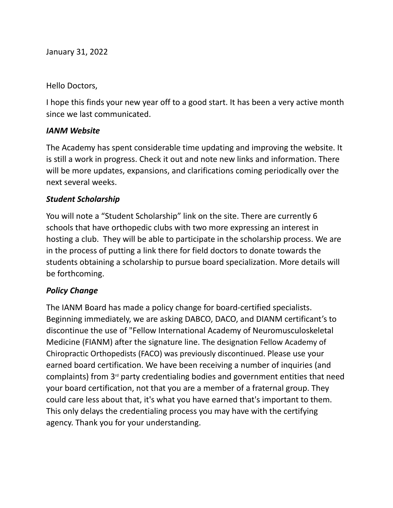January 31, 2022

Hello Doctors,

I hope this finds your new year off to a good start. It has been a very active month since we last communicated.

### *IANM Website*

The Academy has spent considerable time updating and improving the website. It is still a work in progress. Check it out and note new links and information. There will be more updates, expansions, and clarifications coming periodically over the next several weeks.

## *Student Scholarship*

You will note a "Student Scholarship" link on the site. There are currently 6 schools that have orthopedic clubs with two more expressing an interest in hosting a club. They will be able to participate in the scholarship process. We are in the process of putting a link there for field doctors to donate towards the students obtaining a scholarship to pursue board specialization. More details will be forthcoming.

## *Policy Change*

The IANM Board has made a policy change for board-certified specialists. Beginning immediately, we are asking DABCO, DACO, and DIANM certificant's to discontinue the use of "Fellow International Academy of Neuromusculoskeletal Medicine (FIANM) after the signature line. The designation Fellow Academy of Chiropractic Orthopedists (FACO) was previously discontinued. Please use your earned board certification. We have been receiving a number of inquiries (and  $complaints)$  from  $3<sup>rd</sup>$  party credentialing bodies and government entities that need your board certification, not that you are a member of a fraternal group. They could care less about that, it's what you have earned that's important to them. This only delays the credentialing process you may have with the certifying agency. Thank you for your understanding.